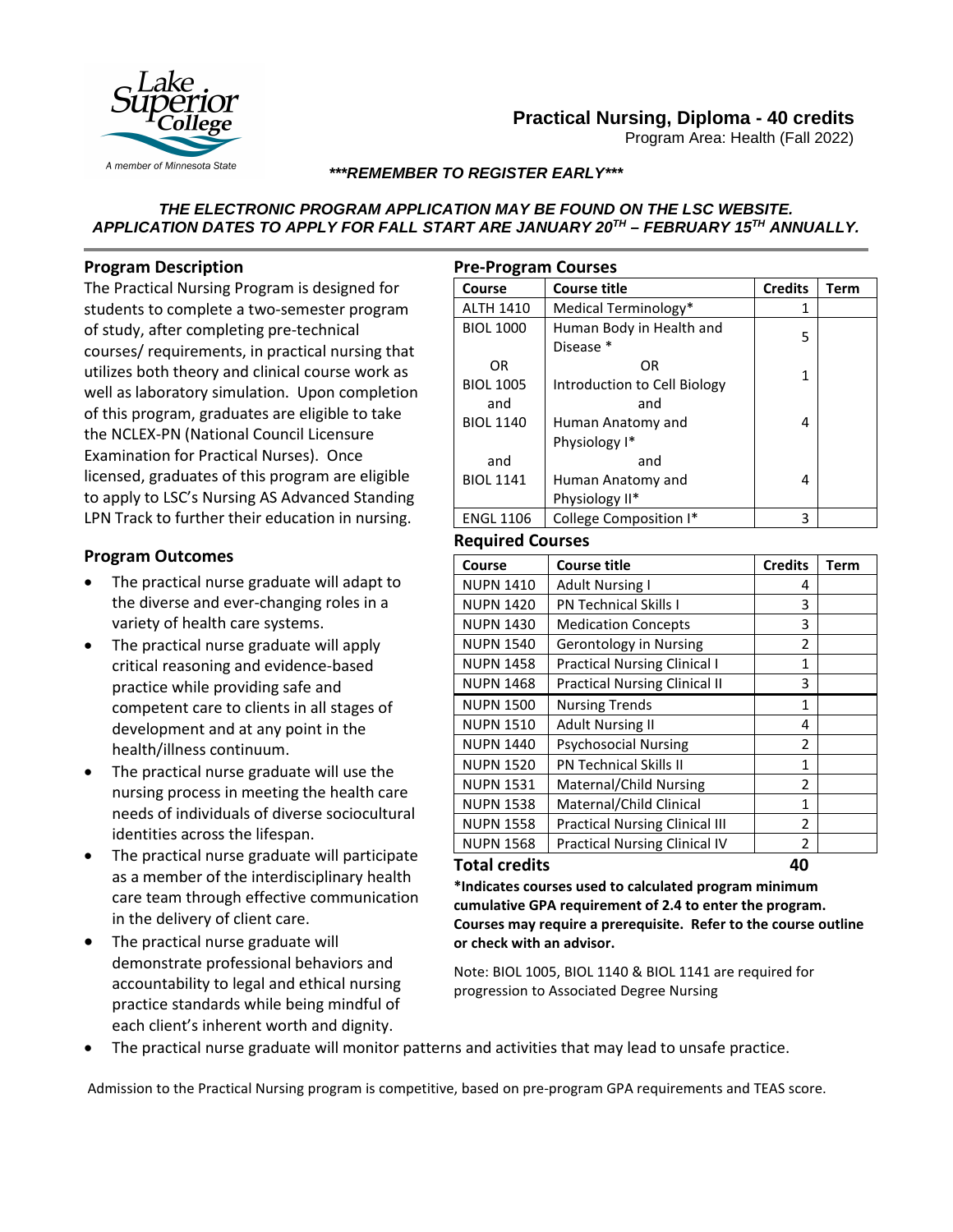

# **Practical Nursing, Diploma - 40 credits**

Program Area: Health (Fall 2022)

#### *\*\*\*REMEMBER TO REGISTER EARLY\*\*\**

### *THE ELECTRONIC PROGRAM APPLICATION MAY BE FOUND ON THE LSC WEBSITE. APPLICATION DATES TO APPLY FOR FALL START ARE JANUARY 20TH – FEBRUARY 15TH ANNUALLY.*

### **Program Description**

The Practical Nursing Program is designed for students to complete a two-semester program of study, after completing pre-technical courses/ requirements, in practical nursing that utilizes both theory and clinical course work as well as laboratory simulation. Upon completion of this program, graduates are eligible to take the NCLEX-PN (National Council Licensure Examination for Practical Nurses). Once licensed, graduates of this program are eligible to apply to LSC's Nursing AS Advanced Standing LPN Track to further their education in nursing.

### **Program Outcomes**

- The practical nurse graduate will adapt to the diverse and ever-changing roles in a variety of health care systems.
- The practical nurse graduate will apply critical reasoning and evidence-based practice while providing safe and competent care to clients in all stages of development and at any point in the health/illness continuum.
- The practical nurse graduate will use the nursing process in meeting the health care needs of individuals of diverse sociocultural identities across the lifespan.
- The practical nurse graduate will participate as a member of the interdisciplinary health care team through effective communication in the delivery of client care.
- The practical nurse graduate will demonstrate professional behaviors and accountability to legal and ethical nursing practice standards while being mindful of each client's inherent worth and dignity.

| <b>Pre-Program Courses</b> |                                            |                |      |  |  |
|----------------------------|--------------------------------------------|----------------|------|--|--|
| Course                     | <b>Course title</b>                        | <b>Credits</b> | Term |  |  |
| <b>ALTH 1410</b>           | Medical Terminology*                       | 1              |      |  |  |
| <b>BIOL 1000</b>           | Human Body in Health and<br>Disease *      | 5              |      |  |  |
| OR<br><b>BIOL 1005</b>     | OR<br>Introduction to Cell Biology         | 1              |      |  |  |
| and<br><b>BIOL 1140</b>    | and<br>Human Anatomy and<br>Physiology I*  | 4              |      |  |  |
| and<br><b>BIOL 1141</b>    | and<br>Human Anatomy and<br>Physiology II* | 4              |      |  |  |
| <b>ENGL 1106</b>           | College Composition I*                     | 3              |      |  |  |

#### **Required Courses**

| Course           | <b>Course title</b>                   | <b>Credits</b> | Term |
|------------------|---------------------------------------|----------------|------|
| <b>NUPN 1410</b> | <b>Adult Nursing I</b>                | 4              |      |
| <b>NUPN 1420</b> | <b>PN Technical Skills I</b>          | 3              |      |
| <b>NUPN 1430</b> | <b>Medication Concepts</b>            | 3              |      |
| <b>NUPN 1540</b> | Gerontology in Nursing                | 2              |      |
| <b>NUPN 1458</b> | <b>Practical Nursing Clinical I</b>   | 1              |      |
| <b>NUPN 1468</b> | <b>Practical Nursing Clinical II</b>  | 3              |      |
| <b>NUPN 1500</b> | <b>Nursing Trends</b>                 | 1              |      |
| <b>NUPN 1510</b> | <b>Adult Nursing II</b>               | 4              |      |
| <b>NUPN 1440</b> | <b>Psychosocial Nursing</b>           | 2              |      |
| <b>NUPN 1520</b> | <b>PN Technical Skills II</b>         | 1              |      |
| <b>NUPN 1531</b> | Maternal/Child Nursing                | 2              |      |
| <b>NUPN 1538</b> | Maternal/Child Clinical               | 1              |      |
| <b>NUPN 1558</b> | <b>Practical Nursing Clinical III</b> | 2              |      |
| <b>NUPN 1568</b> | <b>Practical Nursing Clinical IV</b>  | 2              |      |

**Total credits 40** 

**\*Indicates courses used to calculated program minimum cumulative GPA requirement of 2.4 to enter the program. Courses may require a prerequisite. Refer to the course outline or check with an advisor.**

Note: BIOL 1005, BIOL 1140 & BIOL 1141 are required for progression to Associated Degree Nursing

• The practical nurse graduate will monitor patterns and activities that may lead to unsafe practice.

Admission to the Practical Nursing program is competitive, based on pre-program GPA requirements and TEAS score.